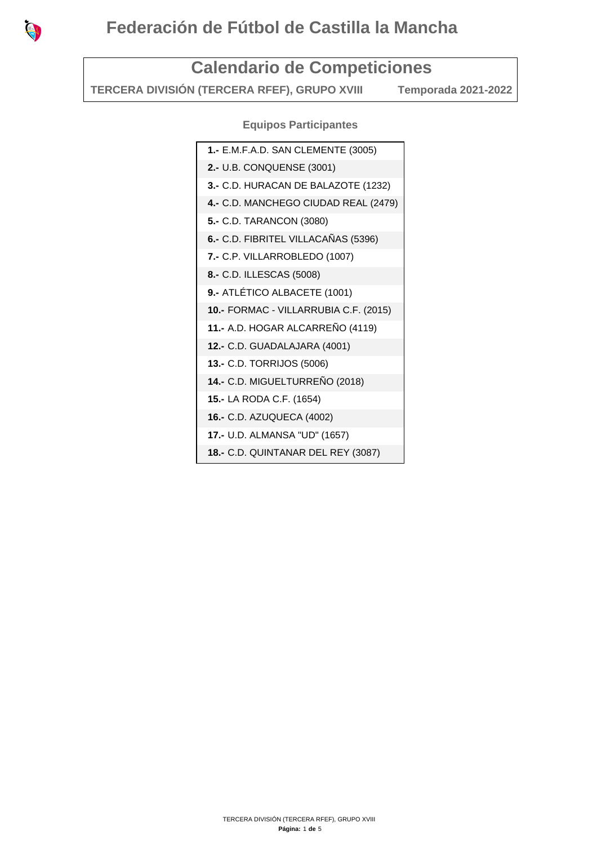

## **Calendario de Competiciones**

**TERCERA DIVISIÓN (TERCERA RFEF), GRUPO XVIII Temporada 2021-2022** 

**Equipos Participantes**

| 1.- E.M.F.A.D. SAN CLEMENTE (3005)    |
|---------------------------------------|
| 2.- U.B. CONQUENSE (3001)             |
| 3.- C.D. HURACAN DE BALAZOTE (1232)   |
| 4.- C.D. MANCHEGO CIUDAD REAL (2479)  |
| 5.- C.D. TARANCON (3080)              |
| 6.- C.D. FIBRITEL VILLACAÑAS (5396)   |
| 7.- C.P. VILLARROBLEDO (1007)         |
| 8.- C.D. ILLESCAS (5008)              |
| 9.- ATLÉTICO ALBACETE (1001)          |
| 10.- FORMAC - VILLARRUBIA C.F. (2015) |
| 11.- A.D. HOGAR ALCARREÑO (4119)      |
| 12.- C.D. GUADALAJARA (4001)          |
| 13.- C.D. TORRIJOS (5006)             |
| 14.- C.D. MIGUELTURREÑO (2018)        |
| 15.- LA RODA C.F. (1654)              |
| 16.- C.D. AZUQUECA (4002)             |
| 17.- U.D. ALMANSA "UD" (1657)         |
| 18.- C.D. QUINTANAR DEL REY (3087)    |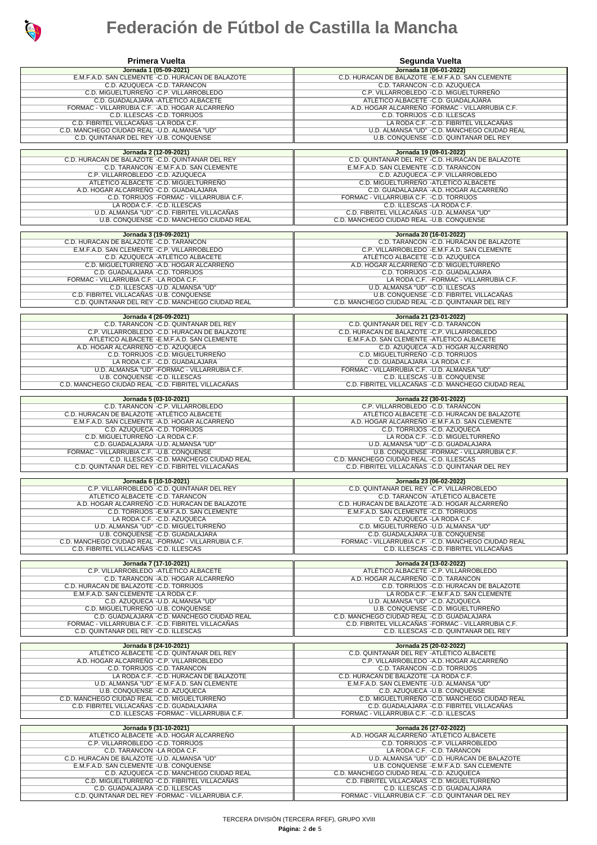

## **Federación de Fútbol de Castilla la Mancha**

| <b>Primera Vuelta</b>                                                                            | Segunda Vuelta                                                                                     |
|--------------------------------------------------------------------------------------------------|----------------------------------------------------------------------------------------------------|
| Jornada 1 (05-09-2021)<br>E.M.F.A.D. SAN CLEMENTE - C.D. HURACAN DE BALAZOTE                     | Jornada 18 (06-01-2022)<br>C.D. HURACAN DE BALAZOTE - E.M.F.A.D. SAN CLEMENTE                      |
| C.D. AZUQUECA -C.D. TARANCON                                                                     | C.D. TARANCON - C.D. AZUQUECA                                                                      |
| C.D. MIGUELTURREÑO -C.P. VILLARROBLEDO<br>C.D. GUADALAJARA - ATLÉTICO ALBACETE                   | C.P. VILLARROBLEDO - C.D. MIGUELTURREÑO<br>ATLÉTICO ALBACETE -C.D. GUADALAJARA                     |
| FORMAC - VILLARRUBIA C.F. - A.D. HOGAR ALCARREÑO<br>C.D. ILLESCAS - C.D. TORRIJOS                | A.D. HOGAR ALCARREÑO - FORMAC - VILLARRUBIA C.F.                                                   |
| C.D. FIBRITEL VILLACAÑAS -LA RODA C.F.                                                           | C.D. TORRIJOS - C.D. ILLESCAS<br>LA RODA C.F. - C.D. FIBRITEL VILLACAÑAS                           |
| C.D. MANCHEGO CIUDAD REAL -U.D. ALMANSA "UD"<br>C.D. QUINTANAR DEL REY - U.B. CONQUENSE          | U.D. ALMANSA "UD" - C.D. MANCHEGO CIUDAD REAL<br>U.B. CONQUENSE - C.D. QUINTANAR DEL REY           |
|                                                                                                  |                                                                                                    |
| Jornada 2 (12-09-2021)<br>C.D. HURACAN DE BALAZOTE - C.D. QUINTANAR DEL REY                      | Jornada 19 (09-01-2022)<br>C.D. QUINTANAR DEL REY - C.D. HURACAN DE BALAZOTE                       |
| C.D. TARANCON - E.M.F.A.D. SAN CLEMENTE<br>C.P. VILLARROBLEDO -C.D. AZUQUECA                     | E.M.F.A.D. SAN CLEMENTE - C.D. TARANCON<br>C.D. AZUQUECA - C.P. VILLARROBLEDO                      |
| ATLÉTICO ALBACETE - C.D. MIGUELTURREÑO                                                           | C.D. MIGUELTURREÑO - ATLÉTICO ALBACETE                                                             |
| A.D. HOGAR ALCARRENO -C.D. GUADALAJARA<br>C.D. TORRIJOS - FORMAC - VILLARRUBIA C.F.              | C.D. GUADALAJARA - A.D. HOGAR ALCARRENO<br>FORMAC - VILLARRUBIA C.F. - C.D. TORRIJOS               |
| LA RODA C.F. - C.D. ILLESCAS                                                                     | C.D. ILLESCAS - LA RODA C.F.                                                                       |
| U.D. ALMANSA "UD" - C.D. FIBRITEL VILLACAÑAS<br>U.B. CONQUENSE - C.D. MANCHEGO CIUDAD REAL       | C.D. FIBRITEL VILLACAÑAS - U.D. ALMANSA "UD"<br>C.D. MANCHEGO CIUDAD REAL - U.B. CONQUENSE         |
| Jornada 3 (19-09-2021)                                                                           | Jornada 20 (16-01-2022)                                                                            |
| C.D. HURACAN DE BALAZOTE - C.D. TARANCON                                                         | C.D. TARANCON - C.D. HURACAN DE BALAZOTE                                                           |
| E.M.F.A.D. SAN CLEMENTE - C.P. VILLARROBLEDO<br>C.D. AZUQUECA - ATLÉTICO ALBACETE                | C.P. VILLARROBLEDO - E.M.F.A.D. SAN CLEMENTE<br>ATLÉTICO ALBACETE - C.D. AZUQUECA                  |
| C.D. MIGUELTURREÑO - A.D. HOGAR ALCARREÑO                                                        | A.D. HOGAR ALCARREÑO - C.D. MIGUELTURREÑO<br>C.D. TORRIJOS - C.D. GUADALAJARA                      |
| C.D. GUADALAJARA - C.D. TORRIJOS<br>FORMAC - VILLARRUBIA C.F. - LA RODA C.F.                     | LA RODA C.F. - FORMAC - VILLARRUBIA C.F.                                                           |
| C.D. ILLESCAS - U.D. ALMANSA "UD"<br>C.D. FIBRITEL VILLACAÑAS - U.B. CONQUENSE                   | U.D. ALMANSA "UD" - C.D. ILLESCAS<br>U.B. CONQUENSE - C.D. FIBRITEL VILLACAÑAS                     |
| C.D. QUINTANAR DEL REY - C.D. MANCHEGO CIUDAD REAL                                               | C.D. MANCHEGO CIUDAD REAL -C.D. QUINTANAR DEL REY                                                  |
| Jornada 4 (26-09-2021)                                                                           | Jornada 21 (23-01-2022)                                                                            |
| C.D. TARANCON - C.D. QUINTANAR DEL REY<br>C.P. VILLARROBLEDO - C.D. HURACAN DE BALAZOTE          | C.D. QUINTANAR DEL REY - C.D. TARANCON<br>C.D. HURACAN DE BALAZOTE -C.P. VILLARROBLEDO             |
| ATLÉTICO ALBACETE - E.M.F.A.D. SAN CLEMENTE                                                      | E.M.F.A.D. SAN CLEMENTE - ATLÉTICO ALBACETE                                                        |
| A.D. HOGAR ALCARRENO -C.D. AZUQUECA<br>C.D. TORRIJOS - C.D. MIGUELTURRENO                        | C.D. AZUQUECA - A.D. HOGAR ALCARRENO<br>C.D. MIGUELTURRENO - C.D. TORRIJOS                         |
| LA RODA C.F. - C.D. GUADALAJARA                                                                  | C.D. GUADALAJARA -LA RODA C.F.                                                                     |
| U.D. ALMANSA "UD" - FORMAC - VILLARRUBIA C.F.<br>U.B. CONQUENSE - C.D. ILLESCAS                  | FORMAC - VILLARRUBIA C.F. - U.D. ALMANSA "UD"<br>C.D. ILLESCAS - U.B. CONQUENSE                    |
| C.D. MANCHEGO CIUDAD REAL -C.D. FIBRITEL VILLACAÑAS                                              | C.D. FIBRITEL VILLACAÑAS - C.D. MANCHEGO CIUDAD REAL                                               |
| Jornada 5 (03-10-2021)                                                                           | Jornada 22 (30-01-2022)                                                                            |
| C.D. TARANCON - C.P. VILLARROBLEDO<br>C.D. HURACAN DE BALAZOTE - ATLÉTICO ALBACETE               | C.P. VILLARROBLEDO - C.D. TARANCON<br>ATLÉTICO ALBACETE - C.D. HURACAN DE BALAZOTE                 |
| E.M.F.A.D. SAN CLEMENTE - A.D. HOGAR ALCARREÑO                                                   | A.D. HOGAR ALCARREÑO - E.M.F.A.D. SAN CLEMENTE                                                     |
| C.D. AZUQUECA - C.D. TORRIJOS<br>C.D. MIGUELTURREÑO -LA RODA C.F.                                | C.D. TORRIJOS - C.D. AZUQUECA<br>LA RODA C.F. - C.D. MIGUELTURREÑO                                 |
| C.D. GUADALAJARA - U.D. ALMANSA "UD"<br>FORMAC - VILLARRUBIA C.F. - U.B. CONQUENSE               | U.D. ALMANSA "UD" - C.D. GUADALAJARA<br>U.B. CONQUENSE - FORMAC - VILLARRUBIA C.F.                 |
| C.D. ILLESCAS - C.D. MANCHEGO CIUDAD REAL                                                        | C.D. MANCHEGO CIUDAD REAL -C.D. ILLESCAS                                                           |
| C.D. QUINTANAR DEL REY - C.D. FIBRITEL VILLACAÑAS                                                | C.D. FIBRITEL VILLACAÑAS - C.D. QUINTANAR DEL REY                                                  |
| Jornada 6 (10-10-2021)<br>C.P. VILLARROBLEDO - C.D. QUINTANAR DEL REY                            | Jornada 23 (06-02-2022)<br>C.D. QUINTANAR DEL REY - C.P. VILLARROBLEDO                             |
| ATLÉTICO ALBACETE -C.D. TARANCON                                                                 | C.D. TARANCON - ATLÉTICO ALBACETE                                                                  |
| A.D. HOGAR ALCARREÑO -C.D. HURACAN DE BALAZOTE<br>C.D. TORRIJOS - E.M.F.A.D. SAN CLEMENTE        | C.D. HURACAN DE BALAZOTE - A.D. HOGAR ALCARREÑO<br>E.M.F.A.D. SAN CLEMENTE -C.D. TORRIJOS          |
| LA RODA C.F. - C.D. AZUQUECA                                                                     | C.D. AZUQUECA - LA RODA C.F.                                                                       |
| U.D. ALMANSA "UD" - C.D. MIGUELTURREÑO<br>U.B. CONQUENSE - C.D. GUADALAJARA                      | C.D. MIGUELTURRENO - U.D. ALMANSA "UD"<br>C.D. GUADALAJARA - U.B. CONQUENSE                        |
| C.D. MANCHEGO CIUDAD REAL -FORMAC - VILLARRUBIA C.F.<br>C.D. FIBRITEL VILLACAÑAS - C.D. ILLESCAS | FORMAC - VILLARRUBIA C.F. - C.D. MANCHEGO CIUDAD REAL<br>C.D. ILLESCAS - C.D. FIBRITEL VILLACAÑAS  |
|                                                                                                  |                                                                                                    |
| Jornada 7 (17-10-2021)<br>C.P. VILLARROBLEDO - ATLÉTICO ALBACETE                                 | Jornada 24 (13-02-2022)<br>ATLÉTICO ALBACETE -C.P. VILLARROBLEDO                                   |
| C.D. TARANCON - A.D. HOGAR ALCARREÑO<br>C.D. HURACAN DE BALAZOTE -C.D. TORRIJOS                  | A.D. HOGAR ALCARREÑO - C.D. TARANCON<br>C.D. TORRIJOS - C.D. HURACAN DE BALAZOTE                   |
| E.M.F.A.D. SAN CLEMENTE -LA RODA C.F.                                                            | LA RODA C.F. - E.M.F.A.D. SAN CLEMENTE                                                             |
| C.D. AZUQUECA - U.D. ALMANSA "UD"<br>C.D. MIGUELTURRENO - U.B. CONQUENSE                         | U.D. ALMANSA "UD" -C.D. AZUQUECA<br>U.B. CONQUENSE - C.D. MIGUELTURREÑO                            |
| C.D. GUADALAJARA - C.D. MANCHEGO CIUDAD REAL                                                     | C.D. MANCHEGO CIUDAD REAL -C.D. GUADALAJARA<br>C.D. FIBRITEL VILLACAÑAS -FORMAC - VILLARRUBIA C.F. |
| FORMAC - VILLARRUBIA C.F. -C.D. FIBRITEL VILLACAÑAS<br>C.D. QUINTANAR DEL REY -C.D. ILLESCAS     | C.D. ILLESCAS - C.D. QUINTANAR DEL REY                                                             |
| Jornada 8 (24-10-2021)                                                                           | Jornada 25 (20-02-2022)                                                                            |
| ATLÉTICO ALBACETE -C.D. QUINTANAR DEL REY                                                        | C.D. QUINTANAR DEL REY - ATLÉTICO ALBACETE                                                         |
| A.D. HOGAR ALCARREÑO - C.P. VILLARROBLEDO<br>C.D. TORRIJOS - C.D. TARANCON                       | C.P. VILLARROBLEDO - A.D. HOGAR ALCARREÑO<br>C.D. TARANCON - C.D. TORRIJOS                         |
| LA RODA C.F. - C.D. HURACAN DE BALAZOTE<br>U.D. ALMANSA "UD" - E.M.F.A.D. SAN CLEMENTE           | C.D. HURACAN DE BALAZOTE -LA RODA C.F.<br>E.M.F.A.D. SAN CLEMENTE - U.D. ALMANSA "UD"              |
| U.B. CONQUENSE - C.D. AZUQUECA                                                                   | C.D. AZUQUECA - U.B. CONQUENSE                                                                     |
| C.D. MANCHEGO CIUDAD REAL -C.D. MIGUELTURRENO<br>C.D. FIBRITEL VILLACAÑAS - C.D. GUADALAJARA     | C.D. MIGUELTURRENO - C.D. MANCHEGO CIUDAD REAL<br>C.D. GUADALAJARA - C.D. FIBRITEL VILLACAÑAS      |
| C.D. ILLESCAS -FORMAC - VILLARRUBIA C.F.                                                         | FORMAC - VILLARRUBIA C.F. - C.D. ILLESCAS                                                          |
| Jornada 9 (31-10-2021)                                                                           | Jornada 26 (27-02-2022)                                                                            |
| ATLÉTICO ALBACETE - A.D. HOGAR ALCARRENO<br>C.P. VILLARROBLEDO -C.D. TORRIJOS                    | A.D. HOGAR ALCARRENO - ATLÉTICO ALBACETE<br>C.D. TORRIJOS - C.P. VILLARROBLEDO                     |
| C.D. TARANCON -LA RODA C.F.                                                                      | LA RODA C.F. - C.D. TARANCON                                                                       |
| C.D. HURACAN DE BALAZOTE - U.D. ALMANSA "UD"<br>E.M.F.A.D. SAN CLEMENTE - U.B. CONQUENSE         | U.D. ALMANSA "UD" - C.D. HURACAN DE BALAZOTE<br>U.B. CONQUENSE - E.M.F.A.D. SAN CLEMENTE           |
| C.D. AZUQUECA -C.D. MANCHEGO CIUDAD REAL                                                         | C.D. MANCHEGO CIUDAD REAL -C.D. AZUQUECA                                                           |
| C.D. MIGUELTURREÑO - C.D. FIBRITEL VILLACAÑAS<br>C.D. GUADALAJARA -C.D. ILLESCAS                 | C.D. FIBRITEL VILLACAÑAS -C.D. MIGUELTURREÑO<br>C.D. ILLESCAS - C.D. GUADALAJARA                   |
| C.D. QUINTANAR DEL REY -FORMAC - VILLARRUBIA C.F.                                                | FORMAC - VILLARRUBIA C.F. - C.D. QUINTANAR DEL REY                                                 |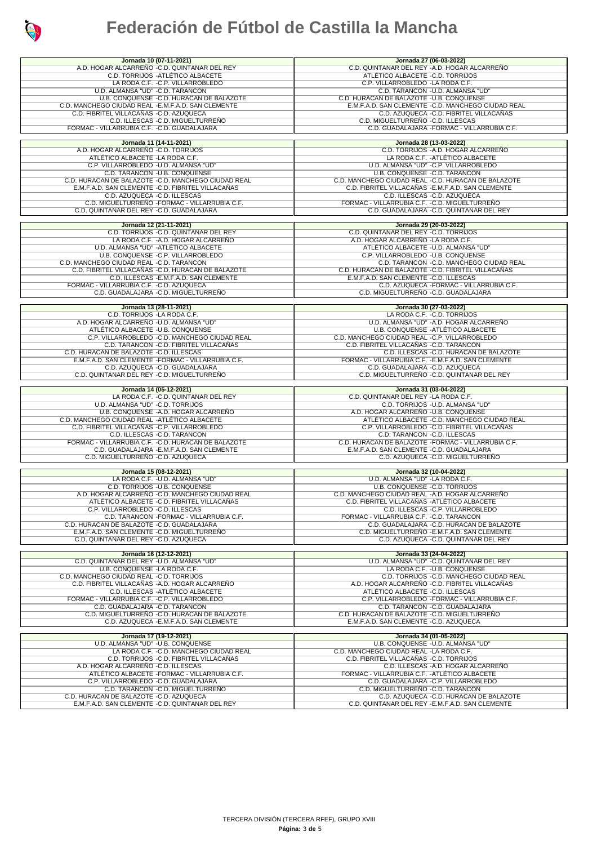

| Jornada 10 (07-11-2021)                                                                    | Jornada 27 (06-03-2022)                                                                      |
|--------------------------------------------------------------------------------------------|----------------------------------------------------------------------------------------------|
| A.D. HOGAR ALCARREÑO - C.D. QUINTANAR DEL REY                                              | C.D. QUINTANAR DEL REY - A.D. HOGAR ALCARREÑO                                                |
| C.D. TORRIJOS - ATLÉTICO ALBACETE                                                          | ATLÉTICO ALBACETE - C.D. TORRIJOS                                                            |
|                                                                                            |                                                                                              |
| LA RODA C.F. - C.P. VILLARROBLEDO                                                          | C.P. VILLARROBLEDO - LA RODA C.F.                                                            |
| U.D. ALMANSA "UD" - C.D. TARANCON                                                          | C.D. TARANCON - U.D. ALMANSA "UD"                                                            |
| U.B. CONQUENSE - C.D. HURACAN DE BALAZOTE                                                  | C.D. HURACAN DE BALAZOTE - U.B. CONQUENSE                                                    |
|                                                                                            |                                                                                              |
| C.D. MANCHEGO CIUDAD REAL - E.M.F.A.D. SAN CLEMENTE                                        | E.M.F.A.D. SAN CLEMENTE - C.D. MANCHEGO CIUDAD REAL                                          |
| C.D. FIBRITEL VILLACAÑAS -C.D. AZUQUECA                                                    | C.D. AZUQUECA - C.D. FIBRITEL VILLACAÑAS                                                     |
| C.D. ILLESCAS -C.D. MIGUELTURREÑO                                                          | C.D. MIGUELTURREÑO - C.D. ILLESCAS                                                           |
|                                                                                            |                                                                                              |
| FORMAC - VILLARRUBIA C.F. - C.D. GUADALAJARA                                               | C.D. GUADALAJARA - FORMAC - VILLARRUBIA C.F.                                                 |
|                                                                                            |                                                                                              |
| Jornada 11 (14-11-2021)                                                                    | Jornada 28 (13-03-2022)                                                                      |
|                                                                                            |                                                                                              |
| A.D. HOGAR ALCARREÑO -C.D. TORRIJOS                                                        | C.D. TORRIJOS - A.D. HOGAR ALCARREÑO                                                         |
| ATLÉTICO ALBACETE -LA RODA C.F.                                                            | LA RODA C.F. - ATLÉTICO ALBACETE                                                             |
| C.P. VILLARROBLEDO - U.D. ALMANSA "UD"                                                     | U.D. ALMANSA "UD" - C.P. VILLARROBLEDO                                                       |
| C.D. TARANCON - U.B. CONQUENSE                                                             | U.B. CONQUENSE - C.D. TARANCON                                                               |
|                                                                                            |                                                                                              |
| C.D. HURACAN DE BALAZOTE - C.D. MANCHEGO CIUDAD REAL                                       | C.D. MANCHEGO CIUDAD REAL -C.D. HURACAN DE BALAZOTE                                          |
| E.M.F.A.D. SAN CLEMENTE - C.D. FIBRITEL VILLACAÑAS                                         | C.D. FIBRITEL VILLACAÑAS - E.M.F.A.D. SAN CLEMENTE                                           |
| C.D. AZUQUECA - C.D. ILLESCAS                                                              | C.D. ILLESCAS - C.D. AZUQUECA                                                                |
|                                                                                            |                                                                                              |
| C.D. MIGUELTURREÑO -FORMAC - VILLARRUBIA C.F.                                              | FORMAC - VILLARRUBIA C.F. - C.D. MIGUELTURREÑO                                               |
| C.D. QUINTANAR DEL REY -C.D. GUADALAJARA                                                   | C.D. GUADALAJARA - C.D. QUINTANAR DEL REY                                                    |
|                                                                                            |                                                                                              |
|                                                                                            |                                                                                              |
| Jornada 12 (21-11-2021)                                                                    | Jornada 29 (20-03-2022)                                                                      |
| C.D. TORRIJOS - C.D. QUINTANAR DEL REY                                                     | C.D. QUINTANAR DEL REY -C.D. TORRIJOS                                                        |
| LA RODA C.F. - A.D. HOGAR ALCARREÑO                                                        | A.D. HOGAR ALCARREÑO - LA RODA C.F.                                                          |
| U.D. ALMANSA "UD" - ATLÉTICO ALBACETE                                                      | ATLÉTICO ALBACETE - U.D. ALMANSA "UD"                                                        |
|                                                                                            |                                                                                              |
| U.B. CONQUENSE - C.P. VILLARROBLEDO                                                        | C.P. VILLARROBLEDO - U.B. CONQUENSE                                                          |
| C.D. MANCHEGO CIUDAD REAL -C.D. TARANCON                                                   | C.D. TARANCON - C.D. MANCHEGO CIUDAD REAL                                                    |
| C.D. FIBRITEL VILLACAÑAS - C.D. HURACAN DE BALAZOTE                                        | C.D. HURACAN DE BALAZOTE - C.D. FIBRITEL VILLACAÑAS                                          |
|                                                                                            |                                                                                              |
| C.D. ILLESCAS - E.M.F.A.D. SAN CLEMENTE                                                    | E.M.F.A.D. SAN CLEMENTE - C.D. ILLESCAS                                                      |
| FORMAC - VILLARRUBIA C.F. -C.D. AZUQUECA                                                   | C.D. AZUQUECA - FORMAC - VILLARRUBIA C.F.                                                    |
| C.D. GUADALAJARA -C.D. MIGUELTURREÑO                                                       | C.D. MIGUELTURREÑO - C.D. GUADALAJARA                                                        |
|                                                                                            |                                                                                              |
|                                                                                            |                                                                                              |
| Jornada 13 (28-11-2021)                                                                    | Jornada 30 (27-03-2022)                                                                      |
| C.D. TORRIJOS - LA RODA C.F.                                                               | LA RODA C.F. - C.D. TORRIJOS                                                                 |
| A.D. HOGAR ALCARREÑO - U.D. ALMANSA "UD"                                                   | U.D. ALMANSA "UD" - A.D. HOGAR ALCARREÑO                                                     |
|                                                                                            |                                                                                              |
| ATLÉTICO ALBACETE -U.B. CONQUENSE                                                          | U.B. CONQUENSE - ATLÉTICO ALBACETE                                                           |
| C.P. VILLARROBLEDO - C.D. MANCHEGO CIUDAD REAL                                             | C.D. MANCHEGO CIUDAD REAL -C.P. VILLARROBLEDO                                                |
| C.D. TARANCON - C.D. FIBRITEL VILLACAÑAS                                                   | C.D. FIBRITEL VILLACAÑAS - C.D. TARANCON                                                     |
| C.D. HURACAN DE BALAZOTE -C.D. ILLESCAS                                                    | C.D. ILLESCAS - C.D. HURACAN DE BALAZOTE                                                     |
|                                                                                            |                                                                                              |
| E.M.F.A.D. SAN CLEMENTE -FORMAC - VILLARRUBIA C.F.                                         | FORMAC - VILLARRUBIA C.F. - E.M.F.A.D. SAN CLEMENTE                                          |
| C.D. AZUQUECA - C.D. GUADALAJARA                                                           | C.D. GUADALAJARA -C.D. AZUQUECA                                                              |
| C.D. QUINTANAR DEL REY - C.D. MIGUELTURREÑO                                                | C.D. MIGUELTURREÑO -C.D. QUINTANAR DEL REY                                                   |
|                                                                                            |                                                                                              |
|                                                                                            |                                                                                              |
|                                                                                            |                                                                                              |
| Jornada 14 (05-12-2021)                                                                    | Jornada 31 (03-04-2022)                                                                      |
| LA RODA C.F. - C.D. QUINTANAR DEL REY                                                      | C.D. QUINTANAR DEL REY -LA RODA C.F.                                                         |
| U.D. ALMANSA "UD" -C.D. TORRIJOS                                                           | C.D. TORRIJOS - U.D. ALMANSA "UD"                                                            |
|                                                                                            |                                                                                              |
| U.B. CONQUENSE - A.D. HOGAR ALCARREÑO                                                      | A.D. HOGAR ALCARREÑO - U.B. CONQUENSE                                                        |
| C.D. MANCHEGO CIUDAD REAL -ATLÉTICO ALBACETE                                               | ATLÉTICO ALBACETE - C.D. MANCHEGO CIUDAD REAL                                                |
|                                                                                            | C.P. VILLARROBLEDO - C.D. FIBRITEL VILLACAÑAS                                                |
| C.D. FIBRITEL VILLACAÑAS -C.P. VILLARROBLEDO                                               |                                                                                              |
| C.D. ILLESCAS -C.D. TARANCON                                                               | C.D. TARANCON - C.D. ILLESCAS                                                                |
| FORMAC - VILLARRUBIA C.F. - C.D. HURACAN DE BALAZOTE                                       | C.D. HURACAN DE BALAZOTE - FORMAC - VILLARRUBIA C.F.                                         |
| C.D. GUADALAJARA - E.M.F.A.D. SAN CLEMENTE                                                 | E.M.F.A.D. SAN CLEMENTE - C.D. GUADALAJARA                                                   |
|                                                                                            |                                                                                              |
| C.D. MIGUELTURREÑO -C.D. AZUQUECA                                                          | C.D. AZUQUECA - C.D. MIGUELTURREÑO                                                           |
|                                                                                            |                                                                                              |
| Jornada 15 (08-12-2021)                                                                    | Jornada 32 (10-04-2022)                                                                      |
| LA RODA C.F. - U.D. ALMANSA "UD"                                                           | U.D. ALMANSA "UD" -LA RODA C.F.                                                              |
| C.D. TORRIJOS - U.B. CONQUENSE                                                             | U.B. CONQUENSE - C.D. TORRIJOS                                                               |
| A.D. HOGAR ALCARREÑO -C.D. MANCHEGO CIUDAD REAL                                            | C.D. MANCHEGO CIUDAD REAL -A.D. HOGAR ALCARREÑO                                              |
|                                                                                            |                                                                                              |
| ATLÉTICO ALBACETE - C.D. FIBRITEL VILLACAÑAS                                               | C.D. FIBRITEL VILLACAÑAS - ATLÉTICO ALBACETE                                                 |
| C.P. VILLARROBLEDO - C.D. ILLESCAS                                                         | C.D. ILLESCAS - C.P. VILLARROBLEDO                                                           |
| C.D. TARANCON - FORMAC - VILLARRUBIA C.F.                                                  | FORMAC - VILLARRUBIA C.F. -C.D. TARANCON                                                     |
|                                                                                            | C.D. GUADALAJARA - C.D. HURACAN DE BALAZOTE                                                  |
| C.D. HURACAN DE BALAZOTE -C.D. GUADALAJARA                                                 |                                                                                              |
| E.M.F.A.D. SAN CLEMENTE - C.D. MIGUELTURRENO                                               | C.D. MIGUELTURREÑO -E.M.F.A.D. SAN CLEMENTE                                                  |
| C.D. QUINTANAR DEL REY -C.D. AZUQUECA                                                      | C.D. AZUQUECA - C.D. QUINTANAR DEL REY                                                       |
|                                                                                            |                                                                                              |
| Jornada 16 (12-12-2021)                                                                    | Jornada 33 (24-04-2022)                                                                      |
| C.D. QUINTANAR DEL REY -U.D. ALMANSA "UD"                                                  | U.D. ALMANSA "UD" - C.D. QUINTANAR DEL REY                                                   |
|                                                                                            |                                                                                              |
| U.B. CONQUENSE -LA RODA C.F.                                                               | LA RODA C.F. - U.B. CONQUENSE                                                                |
| C.D. MANCHEGO CIUDAD REAL -C.D. TORRIJOS                                                   | C.D. TORRIJOS - C.D. MANCHEGO CIUDAD REAL                                                    |
| C.D. FIBRITEL VILLACAÑAS -A.D. HOGAR ALCARREÑO                                             | A.D. HOGAR ALCARRENO - C.D. FIBRITEL VILLACANAS                                              |
|                                                                                            |                                                                                              |
| C.D. ILLESCAS - ATLÉTICO ALBACETE                                                          | ATLÉTICO ALBACETE -C.D. ILLESCAS                                                             |
| FORMAC - VILLARRUBIA C.F. -C.P. VILLARROBLEDO                                              | C.P. VILLARROBLEDO - FORMAC - VILLARRUBIA C.F.                                               |
| C.D. GUADALAJARA -C.D. TARANCON                                                            | C.D. TARANCON - C.D. GUADALAJARA                                                             |
| C.D. MIGUELTURREÑO - C.D. HURACAN DE BALAZOTE                                              | C.D. HURACAN DE BALAZOTE -C.D. MIGUELTURREÑO                                                 |
|                                                                                            |                                                                                              |
| C.D. AZUQUECA - E.M.F.A.D. SAN CLEMENTE                                                    | E.M.F.A.D. SAN CLEMENTE -C.D. AZUQUECA                                                       |
|                                                                                            |                                                                                              |
| Jornada 17 (19-12-2021)                                                                    | Jornada 34 (01-05-2022)                                                                      |
| U.D. ALMANSA "UD" - U.B. CONQUENSE                                                         | U.B. CONQUENSE - U.D. ALMANSA "UD"                                                           |
| LA RODA C.F. - C.D. MANCHEGO CIUDAD REAL                                                   | C.D. MANCHEGO CIUDAD REAL -LA RODA C.F.                                                      |
| C.D. TORRIJOS - C.D. FIBRITEL VILLACAÑAS                                                   | C.D. FIBRITEL VILLACAÑAS -C.D. TORRIJOS                                                      |
|                                                                                            |                                                                                              |
| A.D. HOGAR ALCARREÑO - C.D. ILLESCAS                                                       | C.D. ILLESCAS - A.D. HOGAR ALCARRENO                                                         |
| ATLÉTICO ALBACETE -FORMAC - VILLARRUBIA C.F.                                               | FORMAC - VILLARRUBIA C.F. - ATLÉTICO ALBACETE                                                |
| C.P. VILLARROBLEDO -C.D. GUADALAJARA                                                       | C.D. GUADALAJARA - C.P. VILLARROBLEDO                                                        |
| C.D. TARANCON -C.D. MIGUELTURRENO                                                          | C.D. MIGUELTURREÑO - C.D. TARANCON                                                           |
|                                                                                            |                                                                                              |
| C.D. HURACAN DE BALAZOTE -C.D. AZUQUECA<br>E.M.F.A.D. SAN CLEMENTE -C.D. QUINTANAR DEL REY | C.D. AZUQUECA - C.D. HURACAN DE BALAZOTE<br>C.D. QUINTANAR DEL REY - E.M.F.A.D. SAN CLEMENTE |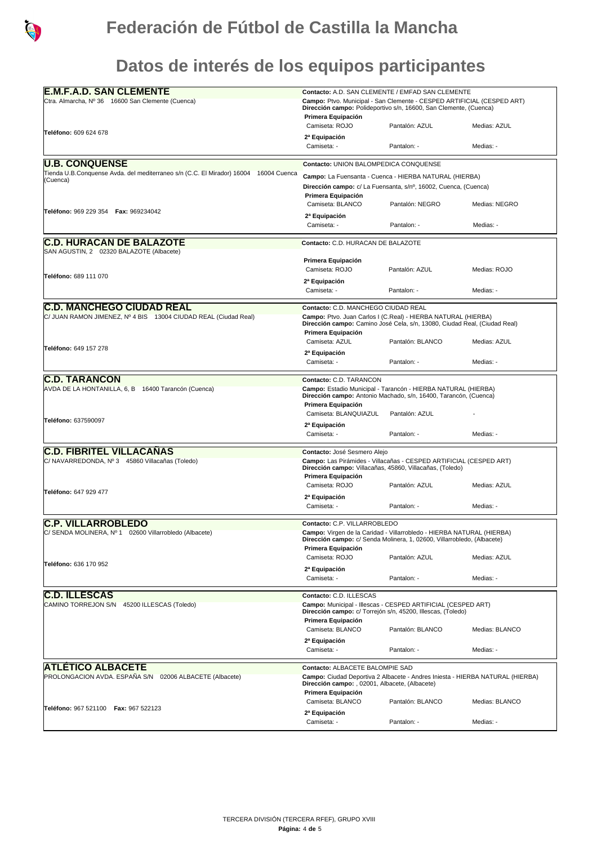

**Datos de interés de los equipos participantes**

| <b>E.M.F.A.D. SAN CLEMENTE</b>                                                                                | Contacto: A.D. SAN CLEMENTE / EMFAD SAN CLEMENTE                                                                                                 |                                                              |                |  |
|---------------------------------------------------------------------------------------------------------------|--------------------------------------------------------------------------------------------------------------------------------------------------|--------------------------------------------------------------|----------------|--|
| Ctra. Almarcha, Nº 36 16600 San Clemente (Cuenca)                                                             | Campo: Ptvo. Municipal - San Clemente - CESPED ARTIFICIAL (CESPED ART)                                                                           |                                                              |                |  |
|                                                                                                               | Dirección campo: Polideportivo s/n, 16600, San Clemente, (Cuenca)<br>Primera Equipación                                                          |                                                              |                |  |
|                                                                                                               | Camiseta: ROJO                                                                                                                                   | Pantalón: AZUL                                               | Medias: AZUL   |  |
| <b>Teléfono:</b> 609 624 678                                                                                  |                                                                                                                                                  |                                                              |                |  |
|                                                                                                               | 2 <sup>a</sup> Equipación<br>Camiseta: -                                                                                                         | Pantalon: -                                                  | Medias: -      |  |
|                                                                                                               |                                                                                                                                                  |                                                              |                |  |
| <b>U.B. CONQUENSE</b><br>Tienda U.B.Conquense Avda. del mediterraneo s/n (C.C. El Mirador) 16004 16004 Cuenca | Contacto: UNION BALOMPEDICA CONQUENSE                                                                                                            |                                                              |                |  |
| (Cuenca)                                                                                                      | Campo: La Fuensanta - Cuenca - HIERBA NATURAL (HIERBA)<br>Dirección campo: c/ La Fuensanta, s/nº, 16002, Cuenca, (Cuenca)<br>Primera Equipación  |                                                              |                |  |
|                                                                                                               |                                                                                                                                                  |                                                              |                |  |
|                                                                                                               | Camiseta: BLANCO                                                                                                                                 | Pantalón: NEGRO                                              | Medias: NEGRO  |  |
| Teléfono: 969 229 354   Fax: 969234042                                                                        | 2ª Equipación                                                                                                                                    |                                                              |                |  |
|                                                                                                               | Camiseta: -                                                                                                                                      | Pantalon: -                                                  | Medias: -      |  |
| <b>C.D. HURACAN DE BALAZOTE</b>                                                                               | Contacto: C.D. HURACAN DE BALAZOTE                                                                                                               |                                                              |                |  |
| SAN AGUSTIN, 2 02320 BALAZOTE (Albacete)                                                                      |                                                                                                                                                  |                                                              |                |  |
|                                                                                                               | Primera Equipación                                                                                                                               |                                                              |                |  |
| Teléfono: 689 111 070                                                                                         | Camiseta: ROJO                                                                                                                                   | Pantalón: AZUL                                               | Medias: ROJO   |  |
|                                                                                                               | 2ª Equipación                                                                                                                                    |                                                              |                |  |
|                                                                                                               | Camiseta: -                                                                                                                                      | Pantalon: -                                                  | Medias: -      |  |
| <b>C.D. MANCHEGO CIUDAD REAL</b>                                                                              | Contacto: C.D. MANCHEGO CIUDAD REAL                                                                                                              |                                                              |                |  |
| C/ JUAN RAMON JIMENEZ, Nº 4 BIS 13004 CIUDAD REAL (Ciudad Real)                                               | Campo: Ptvo. Juan Carlos I (C.Real) - HIERBA NATURAL (HIERBA)<br>Dirección campo: Camino José Cela, s/n, 13080, Ciudad Real, (Ciudad Real)       |                                                              |                |  |
|                                                                                                               | Primera Equipación                                                                                                                               |                                                              |                |  |
|                                                                                                               | Camiseta: AZUL                                                                                                                                   | Pantalón: BLANCO                                             | Medias: AZUL   |  |
| Teléfono: 649 157 278                                                                                         | 2ª Equipación                                                                                                                                    |                                                              |                |  |
|                                                                                                               | Camiseta: -                                                                                                                                      | Pantalon: -                                                  | Medias: -      |  |
| <b>IC.D. TARANCON</b>                                                                                         | Contacto: C.D. TARANCON                                                                                                                          |                                                              |                |  |
| AVDA DE LA HONTANILLA, 6, B 16400 Tarancón (Cuenca)                                                           | Campo: Estadio Municipal - Tarancón - HIERBA NATURAL (HIERBA)                                                                                    |                                                              |                |  |
|                                                                                                               | Dirección campo: Antonio Machado, s/n, 16400, Tarancón, (Cuenca)<br>Primera Equipación                                                           |                                                              |                |  |
|                                                                                                               | Camiseta: BLANQUIAZUL                                                                                                                            | Pantalón: AZUL                                               |                |  |
| Teléfono: 637590097                                                                                           | 2ª Equipación                                                                                                                                    |                                                              |                |  |
|                                                                                                               | Camiseta: -                                                                                                                                      | Pantalon: -                                                  | Medias: -      |  |
| <b>C.D. FIBRITEL VILLACAÑAS</b>                                                                               | Contacto: José Sesmero Alejo                                                                                                                     |                                                              |                |  |
| C/ NAVARREDONDA, Nº 3 45860 Villacañas (Toledo)                                                               | Campo: Las Pirámides - Villacañas - CESPED ARTIFICIAL (CESPED ART)                                                                               |                                                              |                |  |
|                                                                                                               | Dirección campo: Villacañas, 45860, Villacañas, (Toledo)<br>Primera Equipación                                                                   |                                                              |                |  |
|                                                                                                               | Camiseta: ROJO                                                                                                                                   | Pantalón: AZUL                                               | Medias: AZUL   |  |
| Teléfono: 647 929 477                                                                                         | 2ª Equipación                                                                                                                                    |                                                              |                |  |
|                                                                                                               | Camiseta: -                                                                                                                                      | Pantalon: -                                                  | Medias: -      |  |
| <b>C.P. VILLARROBLEDO</b>                                                                                     | Contacto: C.P. VILLARROBLEDO                                                                                                                     |                                                              |                |  |
| C/ SENDA MOLINERA, Nº 1 02600 Villarrobledo (Albacete)                                                        | Campo: Virgen de la Caridad - Villarrobledo - HIERBA NATURAL (HIERBA)<br>Dirección campo: c/ Senda Molinera, 1, 02600, Villarrobledo, (Albacete) |                                                              |                |  |
|                                                                                                               | Primera Equipación                                                                                                                               |                                                              |                |  |
|                                                                                                               | Camiseta: ROJO                                                                                                                                   | Pantalón: AZUL                                               | Medias: AZUL   |  |
| Teléfono: 636 170 952                                                                                         | 2ª Equipación                                                                                                                                    |                                                              |                |  |
|                                                                                                               | Camiseta: -                                                                                                                                      | Pantalon: -                                                  | Medias: -      |  |
| <b>C.D. ILLESCAS</b>                                                                                          | Contacto: C.D. ILLESCAS                                                                                                                          |                                                              |                |  |
| CAMINO TORREJON S/N 45200 ILLESCAS (Toledo)                                                                   |                                                                                                                                                  | Campo: Municipal - Illescas - CESPED ARTIFICIAL (CESPED ART) |                |  |
|                                                                                                               | Dirección campo: c/ Torrejón s/n, 45200, Illescas, (Toledo)<br>Primera Equipación                                                                |                                                              |                |  |
|                                                                                                               | Camiseta: BLANCO                                                                                                                                 | Pantalón: BLANCO                                             | Medias: BLANCO |  |
|                                                                                                               | 2ª Equipación                                                                                                                                    |                                                              |                |  |
|                                                                                                               | Camiseta: -                                                                                                                                      | Pantalon: -                                                  | Medias: -      |  |
| <b>ATLÉTICO ALBACETE</b>                                                                                      | Contacto: ALBACETE BALOMPIE SAD                                                                                                                  |                                                              |                |  |
| PROLONGACION AVDA. ESPAÑA S/N 02006 ALBACETE (Albacete)                                                       | Campo: Ciudad Deportiva 2 Albacete - Andres Iniesta - HIERBA NATURAL (HIERBA)                                                                    |                                                              |                |  |
|                                                                                                               | Dirección campo: , 02001, Albacete, (Albacete)                                                                                                   |                                                              |                |  |
|                                                                                                               | Primera Equipación<br>Camiseta: BLANCO                                                                                                           | Pantalón: BLANCO                                             | Medias: BLANCO |  |
| Teléfono: 967 521100   Fax: 967 522123                                                                        | 2ª Equipación                                                                                                                                    |                                                              |                |  |
|                                                                                                               | Camiseta: -                                                                                                                                      | Pantalon: -                                                  | Medias: -      |  |